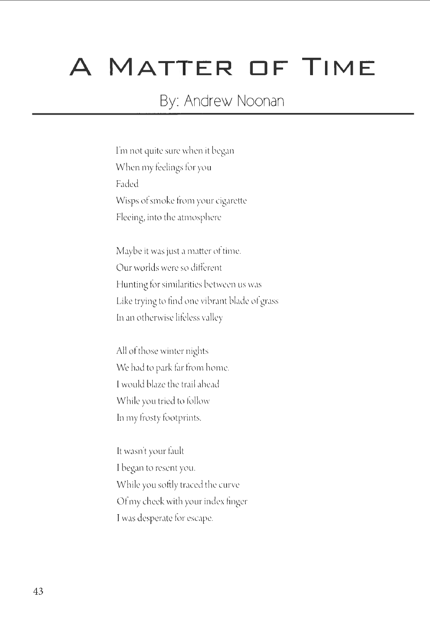## A **MATTER OF TIME**

## By: Andrew Noonan

I'm not quite sure when it began When my feelings for you Faded Wisps of smoke from your cigarette Fleeing, into the atmosphere

Maybe it was just a matter of time. Our worlds were so different Hunting for similarities between us was Like trying to find one vibrant blade of grass In an otherwise lifeless valley

All of those winter nights We had to park far from home. l would blaze the trail ahead While you tried to follow In my frosty footprints.

It wasn't your fault I began to resent you. While you softly traced the curve Of my cheek with your index finger I was desperate for escape.